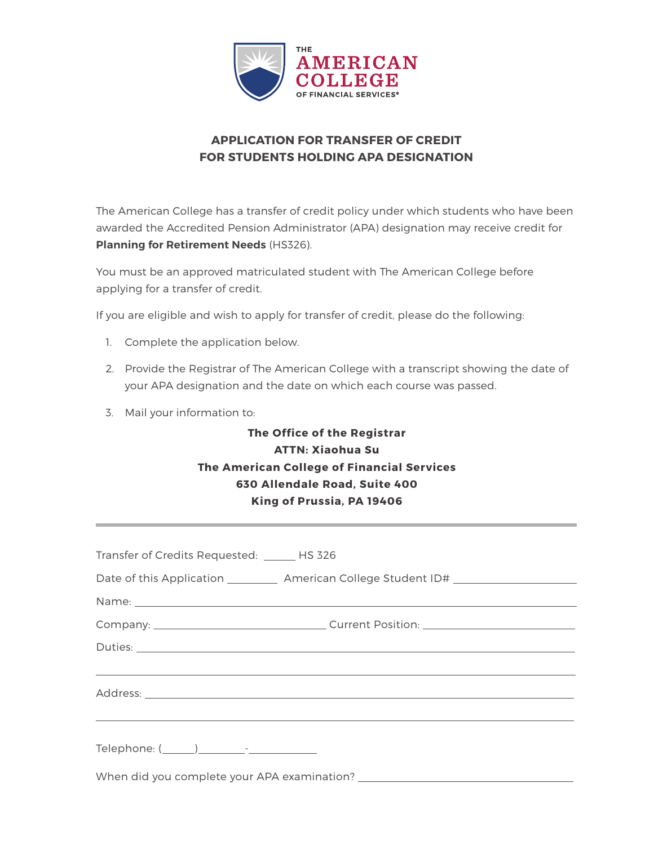

## **APPLICATION FOR TRANSFER OF CREDIT FOR STUDENTS HOLDING APA DESIGNATION**

The American College has a transfer of credit policy under which students who have been awarded the Accredited Pension Administrator (APA) designation may receive credit for **Planning for Retirement Needs** (HS326).

You must be an approved matriculated student with The American College before applying for a transfer of credit.

If you are eligible and wish to apply for transfer of credit, please do the following:

- 1. Complete the application below.
- 2. Provide the Registrar of The American College with a transcript showing the date of your APA designation and the date on which each course was passed.
- 3. Mail your information to:

## **The Office of the Registrar ATTN: Xiaohua Su The American College of Financial Services 630 Allendale Road, Suite 400 King of Prussia, PA 19406**

| Transfer of Credits Requested: ______ HS 326                                                                                                                                                                                         |  |  |  |
|--------------------------------------------------------------------------------------------------------------------------------------------------------------------------------------------------------------------------------------|--|--|--|
| Date of this Application ____________ American College Student ID# ______________                                                                                                                                                    |  |  |  |
|                                                                                                                                                                                                                                      |  |  |  |
|                                                                                                                                                                                                                                      |  |  |  |
| Duties: <u>New York: Andreast Communication of the Communication of the Communication of the Communication</u>                                                                                                                       |  |  |  |
| <u> 1989 - Johann Stoff, deutscher Stoffen und der Stoffen und der Stoffen und der Stoffen und der Stoffen und der</u>                                                                                                               |  |  |  |
| Address: <u>Address: Address: Address: Address: Address: Address: Address: Address: Address: Address: Address: Address: Address: Address: Address: Address: Address: Address: Address: Address: Address: Address: Address: Addre</u> |  |  |  |
| <u> 1989 - Andrea Santa Andrea Andrea Andrea Andrea Andrea Andrea Andrea Andrea Andrea Andrea Andrea Andrea Andr</u>                                                                                                                 |  |  |  |
|                                                                                                                                                                                                                                      |  |  |  |
| When did you complete your APA examination? The matrix of the state of the state of the state of the state of the state of the state of the state of the state of the state of the state of the state of the state of the stat       |  |  |  |